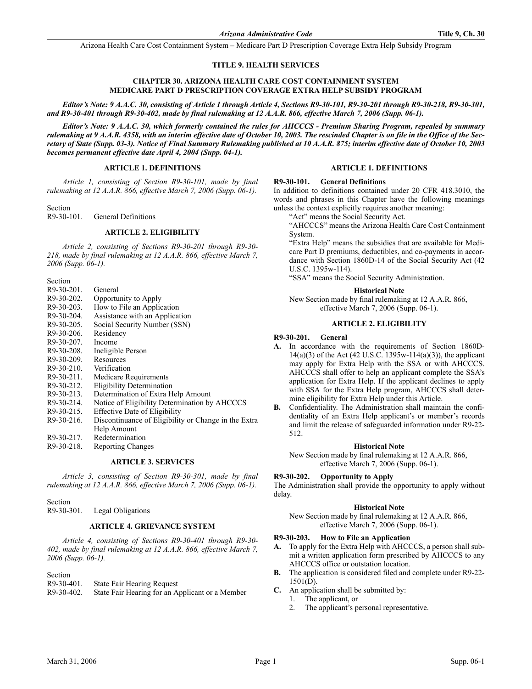Arizona Health Care Cost Containment System – Medicare Part D Prescription Coverage Extra Help Subsidy Program

# **TITLE 9. HEALTH SERVICES**

# **CHAPTER 30. ARIZONA HEALTH CARE COST CONTAINMENT SYSTEM MEDICARE PART D PRESCRIPTION COVERAGE EXTRA HELP SUBSIDY PROGRAM**

*Editor's Note: 9 A.A.C. 30, consisting of Article 1 through Article 4, Sections R9-30-101, R9-30-201 through R9-30-218, R9-30-301, and R9-30-401 through R9-30-402, made by final rulemaking at 12 A.A.R. 866, effective March 7, 2006 (Supp. 06-1).*

*Editor's Note: 9 A.A.C. 30, which formerly contained the rules for AHCCCS - Premium Sharing Program, repealed by summary rulemaking at 9 A.A.R. 4358, with an interim effective date of October 10, 2003. The rescinded Chapter is on file in the Office of the Secretary of State (Supp. 03-3). Notice of Final Summary Rulemaking published at 10 A.A.R. 875; interim effective date of October 10, 2003 becomes permanent effective date April 4, 2004 (Supp. 04-1).*

# **ARTICLE 1. DEFINITIONS**

*Article 1, consisting of Section R9-30-101, made by final rulemaking at 12 A.A.R. 866, effective March 7, 2006 (Supp. 06-1).*

Section<br> $R9-30-101$ . **General Definitions** 

# **ARTICLE 2. ELIGIBILITY**

*Article 2, consisting of Sections R9-30-201 through R9-30- 218, made by final rulemaking at 12 A.A.R. 866, effective March 7, 2006 (Supp. 06-1).*

**Section** 

R9-30-201. General R9-30-202. Opportunity to Apply R9-30-203. How to File an Application R9-30-204. Assistance with an Application R9-30-205. Social Security Number (SSN) R9-30-206. Residency R9-30-207. Income R9-30-208. Ineligible Person R9-30-209. Resources<br>R9-30-210. Verificatio Verification R9-30-211. Medicare Requirements R9-30-212. Eligibility Determination R9-30-213. Determination of Extra Help Amount R9-30-214. Notice of Eligibility Determination by AHCCCS R9-30-215. Effective Date of Eligibility<br>R9-30-216. Discontinuance of Eligibility Discontinuance of Eligibility or Change in the Extra Help Amount R9-30-217. Redetermination<br>R9-30-218. Reporting Chang Reporting Changes

# **ARTICLE 3. SERVICES**

*Article 3, consisting of Section R9-30-301, made by final rulemaking at 12 A.A.R. 866, effective March 7, 2006 (Supp. 06-1).*

Section

R9-30-301. Legal Obligations

# **ARTICLE 4. GRIEVANCE SYSTEM**

*Article 4, consisting of Sections R9-30-401 through R9-30- 402, made by final rulemaking at 12 A.A.R. 866, effective March 7, 2006 (Supp. 06-1).*

Section

| R9-30-401. | State Fair Hearing Request |
|------------|----------------------------|
|------------|----------------------------|

| R9-30-402. | State Fair Hearing for an Applicant or a Member |  |  |
|------------|-------------------------------------------------|--|--|

# **ARTICLE 1. DEFINITIONS**

### **R9-30-101. General Definitions**

In addition to definitions contained under 20 CFR 418.3010, the words and phrases in this Chapter have the following meanings unless the context explicitly requires another meaning:

"Act" means the Social Security Act.

"AHCCCS" means the Arizona Health Care Cost Containment System.

"Extra Help" means the subsidies that are available for Medicare Part D premiums, deductibles, and co-payments in accordance with Section 1860D-14 of the Social Security Act (42 U.S.C. 1395w-114).

"SSA" means the Social Security Administration.

#### **Historical Note**

New Section made by final rulemaking at 12 A.A.R. 866, effective March 7, 2006 (Supp. 06-1).

#### **ARTICLE 2. ELIGIBILITY**

#### **R9-30-201. General**

- **A.** In accordance with the requirements of Section 1860D-14(a)(3) of the Act (42 U.S.C. 1395w-114(a)(3)), the applicant may apply for Extra Help with the SSA or with AHCCCS. AHCCCS shall offer to help an applicant complete the SSA's application for Extra Help. If the applicant declines to apply with SSA for the Extra Help program, AHCCCS shall determine eligibility for Extra Help under this Article.
- **B.** Confidentiality. The Administration shall maintain the confidentiality of an Extra Help applicant's or member's records and limit the release of safeguarded information under R9-22- 512.

## **Historical Note**

New Section made by final rulemaking at 12 A.A.R. 866, effective March 7, 2006 (Supp. 06-1).

### **R9-30-202. Opportunity to Apply**

The Administration shall provide the opportunity to apply without delay.

#### **Historical Note**

New Section made by final rulemaking at 12 A.A.R. 866, effective March 7, 2006 (Supp. 06-1).

#### **R9-30-203. How to File an Application**

- **A.** To apply for the Extra Help with AHCCCS, a person shall submit a written application form prescribed by AHCCCS to any AHCCCS office or outstation location.
- **B.** The application is considered filed and complete under R9-22- 1501(D).
- **C.** An application shall be submitted by:
	- 1. The applicant, or
	- 2. The applicant's personal representative.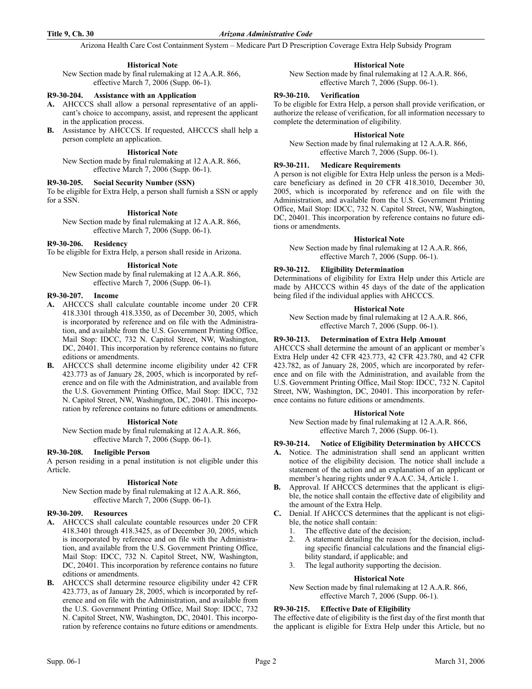Arizona Health Care Cost Containment System – Medicare Part D Prescription Coverage Extra Help Subsidy Program

# **Historical Note**

New Section made by final rulemaking at 12 A.A.R. 866, effective March 7, 2006 (Supp. 06-1).

# **R9-30-204. Assistance with an Application**

- **A.** AHCCCS shall allow a personal representative of an applicant's choice to accompany, assist, and represent the applicant in the application process.
- **B.** Assistance by AHCCCS. If requested, AHCCCS shall help a person complete an application.

## **Historical Note**

New Section made by final rulemaking at 12 A.A.R. 866, effective March 7, 2006 (Supp. 06-1).

### **R9-30-205. Social Security Number (SSN)**

To be eligible for Extra Help, a person shall furnish a SSN or apply for a SSN.

## **Historical Note**

New Section made by final rulemaking at 12 A.A.R. 866, effective March 7, 2006 (Supp. 06-1).

### **R9-30-206. Residency**

To be eligible for Extra Help, a person shall reside in Arizona.

### **Historical Note**

New Section made by final rulemaking at 12 A.A.R. 866, effective March 7, 2006 (Supp. 06-1).

### **R9-30-207. Income**

- **A.** AHCCCS shall calculate countable income under 20 CFR 418.3301 through 418.3350, as of December 30, 2005, which is incorporated by reference and on file with the Administration, and available from the U.S. Government Printing Office, Mail Stop: IDCC, 732 N. Capitol Street, NW, Washington, DC, 20401. This incorporation by reference contains no future editions or amendments.
- **B.** AHCCCS shall determine income eligibility under 42 CFR 423.773 as of January 28, 2005, which is incorporated by reference and on file with the Administration, and available from the U.S. Government Printing Office, Mail Stop: IDCC, 732 N. Capitol Street, NW, Washington, DC, 20401. This incorporation by reference contains no future editions or amendments.

### **Historical Note**

New Section made by final rulemaking at 12 A.A.R. 866, effective March 7, 2006 (Supp. 06-1).

# **R9-30-208. Ineligible Person**

A person residing in a penal institution is not eligible under this Article.

## **Historical Note**

New Section made by final rulemaking at 12 A.A.R. 866, effective March 7, 2006 (Supp. 06-1).

### **R9-30-209. Resources**

- **A.** AHCCCS shall calculate countable resources under 20 CFR 418.3401 through 418.3425, as of December 30, 2005, which is incorporated by reference and on file with the Administration, and available from the U.S. Government Printing Office, Mail Stop: IDCC, 732 N. Capitol Street, NW, Washington, DC, 20401. This incorporation by reference contains no future editions or amendments.
- **B.** AHCCCS shall determine resource eligibility under 42 CFR 423.773, as of January 28, 2005, which is incorporated by reference and on file with the Administration, and available from the U.S. Government Printing Office, Mail Stop: IDCC, 732 N. Capitol Street, NW, Washington, DC, 20401. This incorporation by reference contains no future editions or amendments.

# **Historical Note**

New Section made by final rulemaking at 12 A.A.R. 866, effective March 7, 2006 (Supp. 06-1).

## **R9-30-210. Verification**

To be eligible for Extra Help, a person shall provide verification, or authorize the release of verification, for all information necessary to complete the determination of eligibility.

## **Historical Note**

New Section made by final rulemaking at 12 A.A.R. 866, effective March 7, 2006 (Supp. 06-1).

# **R9-30-211. Medicare Requirements**

A person is not eligible for Extra Help unless the person is a Medicare beneficiary as defined in 20 CFR 418.3010, December 30, 2005, which is incorporated by reference and on file with the Administration, and available from the U.S. Government Printing Office, Mail Stop: IDCC, 732 N. Capitol Street, NW, Washington, DC, 20401. This incorporation by reference contains no future editions or amendments.

### **Historical Note**

New Section made by final rulemaking at 12 A.A.R. 866, effective March 7, 2006 (Supp. 06-1).

### **R9-30-212. Eligibility Determination**

Determinations of eligibility for Extra Help under this Article are made by AHCCCS within 45 days of the date of the application being filed if the individual applies with AHCCCS.

#### **Historical Note**

New Section made by final rulemaking at 12 A.A.R. 866, effective March 7, 2006 (Supp. 06-1).

# **R9-30-213. Determination of Extra Help Amount**

AHCCCS shall determine the amount of an applicant or member's Extra Help under 42 CFR 423.773, 42 CFR 423.780, and 42 CFR 423.782, as of January 28, 2005, which are incorporated by reference and on file with the Administration, and available from the U.S. Government Printing Office, Mail Stop: IDCC, 732 N. Capitol Street, NW, Washington, DC, 20401. This incorporation by reference contains no future editions or amendments.

#### **Historical Note**

New Section made by final rulemaking at 12 A.A.R. 866, effective March 7, 2006 (Supp. 06-1).

## **R9-30-214. Notice of Eligibility Determination by AHCCCS**

- **A.** Notice. The administration shall send an applicant written notice of the eligibility decision. The notice shall include a statement of the action and an explanation of an applicant or member's hearing rights under 9 A.A.C. 34, Article 1.
- **B.** Approval. If AHCCCS determines that the applicant is eligible, the notice shall contain the effective date of eligibility and the amount of the Extra Help.
- **C.** Denial. If AHCCCS determines that the applicant is not eligible, the notice shall contain:
	- 1. The effective date of the decision;
	- 2. A statement detailing the reason for the decision, including specific financial calculations and the financial eligibility standard, if applicable; and
	- 3. The legal authority supporting the decision.

# **Historical Note**

New Section made by final rulemaking at 12 A.A.R. 866, effective March 7, 2006 (Supp. 06-1).

# **R9-30-215. Effective Date of Eligibility**

The effective date of eligibility is the first day of the first month that the applicant is eligible for Extra Help under this Article, but no